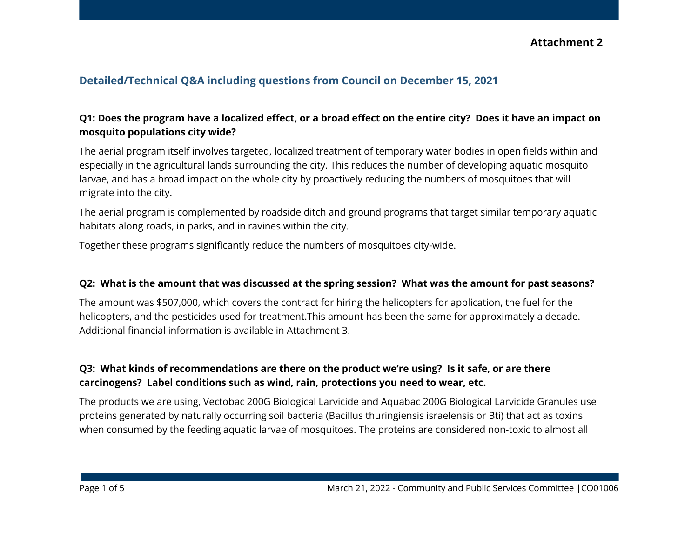## **Attachment 2**

# **Detailed/Technical Q&A including questions from Council on December 15, 2021**

### Q1: Does the program have a localized effect, or a broad effect on the entire city? Does it have an impact on **mosquito populations city wide?**

The aerial program itself involves targeted, localized treatment of temporary water bodies in open fields within and especially in the agricultural lands surrounding the city. This reduces the number of developing aquatic mosquito larvae, and has a broad impact on the whole city by proactively reducing the numbers of mosquitoes that will migrate into the city.

The aerial program is complemented by roadside ditch and ground programs that target similar temporary aquatic habitats along roads, in parks, and in ravines within the city.

Together these programs significantly reduce the numbers of mosquitoes city-wide.

#### Q2: What is the amount that was discussed at the spring session? What was the amount for past seasons?

The amount was \$507,000, which covers the contract for hiring the helicopters for application, the fuel for the helicopters, and the pesticides used for treatment.This amount has been the same for approximately a decade. Additional financial information is available in Attachment 3.

### **Q3: What kinds of recommendations are there on the product we're using? Is it safe, or are there carcinogens? Label conditions such as wind, rain, protections you need to wear, etc.**

The products we are using, Vectobac 200G Biological Larvicide and Aquabac 200G Biological Larvicide Granules use proteins generated by naturally occurring soil bacteria (Bacillus thuringiensis israelensis or Bti) that act as toxins when consumed by the feeding aquatic larvae of mosquitoes. The proteins are considered non-toxic to almost all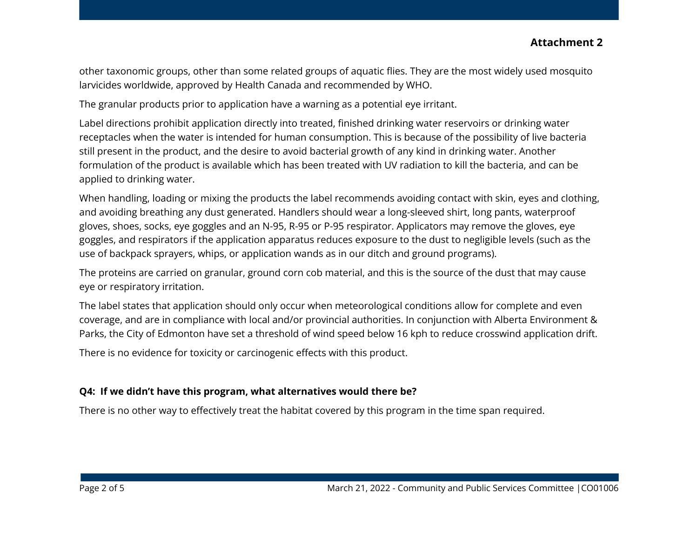## **Attachment 2**

other taxonomic groups, other than some related groups of aquatic flies. They are the most widely used mosquito larvicides worldwide, approved by Health Canada and recommended by WHO.

The granular products prior to application have a warning as a potential eye irritant.

Label directions prohibit application directly into treated, finished drinking water reservoirs or drinking water receptacles when the water is intended for human consumption. This is because of the possibility of live bacteria still present in the product, and the desire to avoid bacterial growth of any kind in drinking water. Another formulation of the product is available which has been treated with UV radiation to kill the bacteria, and can be applied to drinking water.

When handling, loading or mixing the products the label recommends avoiding contact with skin, eyes and clothing, and avoiding breathing any dust generated. Handlers should wear a long-sleeved shirt, long pants, waterproof gloves, shoes, socks, eye goggles and an N-95, R-95 or P-95 respirator. Applicators may remove the gloves, eye goggles, and respirators if the application apparatus reduces exposure to the dust to negligible levels (such as the use of backpack sprayers, whips, or application wands as in our ditch and ground programs).

The proteins are carried on granular, ground corn cob material, and this is the source of the dust that may cause eye or respiratory irritation.

The label states that application should only occur when meteorological conditions allow for complete and even coverage, and are in compliance with local and/or provincial authorities. In conjunction with Alberta Environment & Parks, the City of Edmonton have set a threshold of wind speed below 16 kph to reduce crosswind application drift.

There is no evidence for toxicity or carcinogenic effects with this product.

#### **Q4: If we didn't have this program, what alternatives would there be?**

There is no other way to effectively treat the habitat covered by this program in the time span required.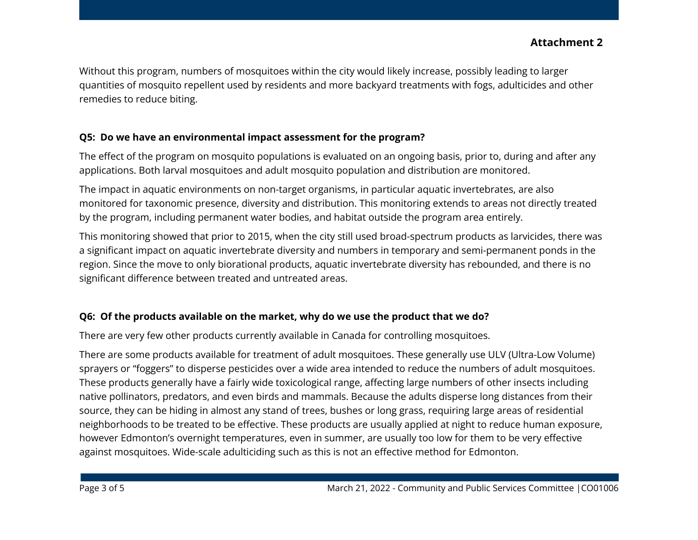Without this program, numbers of mosquitoes within the city would likely increase, possibly leading to larger quantities of mosquito repellent used by residents and more backyard treatments with fogs, adulticides and other remedies to reduce biting.

## **Q5: Do we have an environmental impact assessment for the program?**

The effect of the program on mosquito populations is evaluated on an ongoing basis, prior to, during and after any applications. Both larval mosquitoes and adult mosquito population and distribution are monitored.

The impact in aquatic environments on non-target organisms, in particular aquatic invertebrates, are also monitored for taxonomic presence, diversity and distribution. This monitoring extends to areas not directly treated by the program, including permanent water bodies, and habitat outside the program area entirely.

This monitoring showed that prior to 2015, when the city still used broad-spectrum products as larvicides, there was a significant impact on aquatic invertebrate diversity and numbers in temporary and semi-permanent ponds in the region. Since the move to only biorational products, aquatic invertebrate diversity has rebounded, and there is no significant difference between treated and untreated areas.

## **Q6: Of the products available on the market, why do we use the product that we do?**

There are very few other products currently available in Canada for controlling mosquitoes.

There are some products available for treatment of adult mosquitoes. These generally use ULV (Ultra-Low Volume) sprayers or "foggers" to disperse pesticides over a wide area intended to reduce the numbers of adult mosquitoes. These products generally have a fairly wide toxicological range, affecting large numbers of other insects including native pollinators, predators, and even birds and mammals. Because the adults disperse long distances from their source, they can be hiding in almost any stand of trees, bushes or long grass, requiring large areas of residential neighborhoods to be treated to be effective. These products are usually applied at night to reduce human exposure, however Edmonton's overnight temperatures, even in summer, are usually too low for them to be very effective against mosquitoes. Wide-scale adulticiding such as this is not an effective method for Edmonton.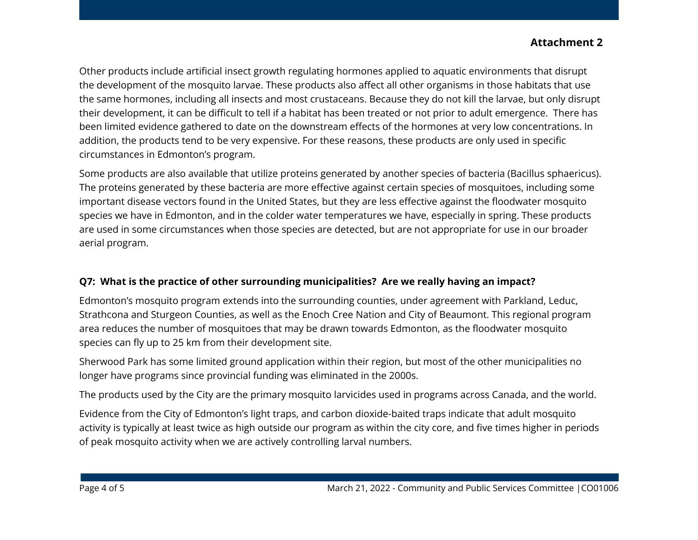# **Attachment 2**

Other products include artificial insect growth regulating hormones applied to aquatic environments that disrupt the development of the mosquito larvae. These products also affect all other organisms in those habitats that use the same hormones, including all insects and most crustaceans. Because they do not kill the larvae, but only disrupt their development, it can be difficult to tell if a habitat has been treated or not prior to adult emergence. There has been limited evidence gathered to date on the downstream effects of the hormones at very low concentrations. In addition, the products tend to be very expensive. For these reasons, these products are only used in specific circumstances in Edmonton's program.

Some products are also available that utilize proteins generated by another species of bacteria (Bacillus sphaericus). The proteins generated by these bacteria are more effective against certain species of mosquitoes, including some important disease vectors found in the United States, but they are less effective against the floodwater mosquito species we have in Edmonton, and in the colder water temperatures we have, especially in spring. These products are used in some circumstances when those species are detected, but are not appropriate for use in our broader aerial program.

### **Q7: What is the practice of other surrounding municipalities? Are we really having an impact?**

Edmonton's mosquito program extends into the surrounding counties, under agreement with Parkland, Leduc, Strathcona and Sturgeon Counties, as well as the Enoch Cree Nation and City of Beaumont. This regional program area reduces the number of mosquitoes that may be drawn towards Edmonton, as the floodwater mosquito species can fly up to 25 km from their development site.

Sherwood Park has some limited ground application within their region, but most of the other municipalities no longer have programs since provincial funding was eliminated in the 2000s.

The products used by the City are the primary mosquito larvicides used in programs across Canada, and the world.

Evidence from the City of Edmonton's light traps, and carbon dioxide-baited traps indicate that adult mosquito activity is typically at least twice as high outside our program as within the city core, and five times higher in periods of peak mosquito activity when we are actively controlling larval numbers.